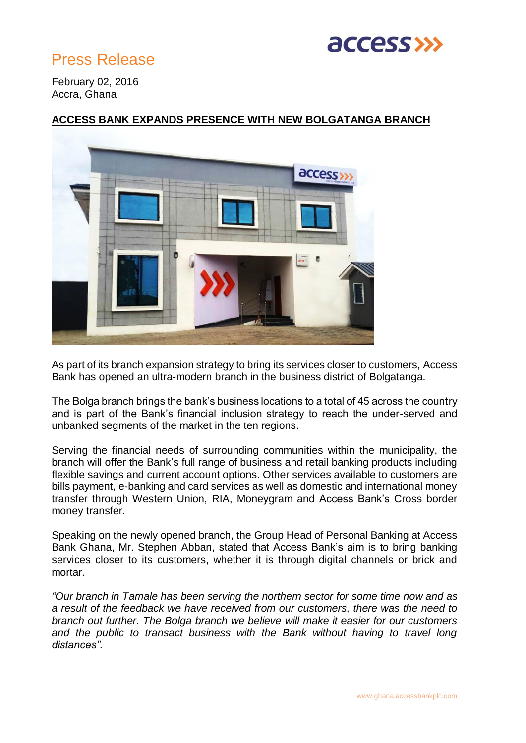

# Press Release

February 02, 2016 Accra, Ghana

# access

## **ACCESS BANK EXPANDS PRESENCE WITH NEW BOLGATANGA BRANCH**

As part of its branch expansion strategy to bring its services closer to customers, Access Bank has opened an ultra-modern branch in the business district of Bolgatanga.

The Bolga branch brings the bank's business locations to a total of 45 across the country and is part of the Bank's financial inclusion strategy to reach the under-served and unbanked segments of the market in the ten regions.

Serving the financial needs of surrounding communities within the municipality, the branch will offer the Bank's full range of business and retail banking products including flexible savings and current account options. Other services available to customers are bills payment, e-banking and card services as well as domestic and international money transfer through Western Union, RIA, Moneygram and Access Bank's Cross border money transfer.

Speaking on the newly opened branch, the Group Head of Personal Banking at Access Bank Ghana, Mr. Stephen Abban, stated that Access Bank's aim is to bring banking services closer to its customers, whether it is through digital channels or brick and mortar.

*"Our branch in Tamale has been serving the northern sector for some time now and as a result of the feedback we have received from our customers, there was the need to branch out further. The Bolga branch we believe will make it easier for our customers*  and the public to transact business with the Bank without having to travel long *distances".*